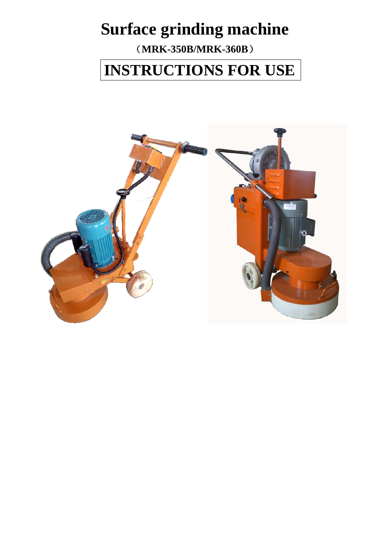# **Surface grinding machine**

(**MRK-350B/MRK-360B**)

**INSTRUCTIONS FOR USE** 

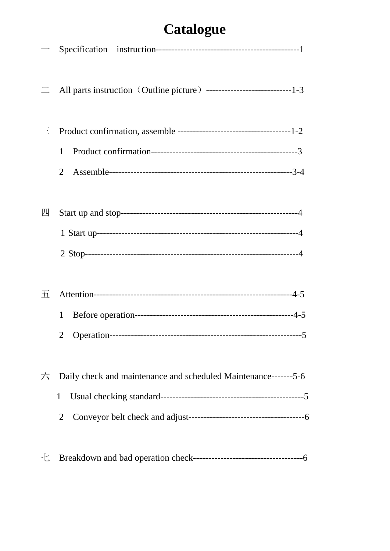# **Catalogue**

| $\longrightarrow$ |                                                                 |
|-------------------|-----------------------------------------------------------------|
| $\equiv$          |                                                                 |
| 三                 |                                                                 |
|                   | 1                                                               |
|                   | $\overline{2}$                                                  |
| 四                 |                                                                 |
|                   |                                                                 |
|                   |                                                                 |
|                   |                                                                 |
| Ŧī.               |                                                                 |
|                   | 1                                                               |
|                   |                                                                 |
| 六                 | Daily check and maintenance and scheduled Maintenance-------5-6 |
|                   | $\mathbf{1}$                                                    |
|                   | 2                                                               |
| 七                 |                                                                 |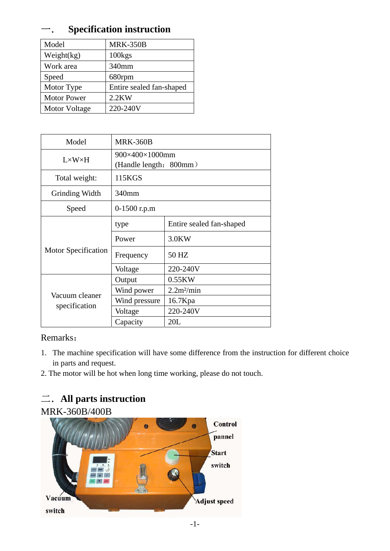## Specification instruction

| Model              | <b>MRK-350B</b>          |
|--------------------|--------------------------|
| Weight(kg)         | $100$ kgs                |
| Work area          | 340mm                    |
| Speed              | 680rpm                   |
| Motor Type         | Entire sealed fan-shaped |
| <b>Motor Power</b> | $2.2$ KW                 |
| Motor Voltage      | 220-240V                 |

| Model                           | <b>MRK-360B</b>        |                          |  |  |
|---------------------------------|------------------------|--------------------------|--|--|
| $L \times W \times H$           | 900×400×1000mm         |                          |  |  |
|                                 | (Handle length: 800mm) |                          |  |  |
| Total weight:                   | 115KGS                 |                          |  |  |
| Grinding Width                  | 340mm                  |                          |  |  |
| Speed                           | $0-1500$ r.p.m         |                          |  |  |
|                                 | type                   | Entire sealed fan-shaped |  |  |
|                                 | Power                  | 3.0KW                    |  |  |
| <b>Motor Specification</b>      | Frequency              | 50 HZ                    |  |  |
|                                 | Voltage                | 220-240V                 |  |  |
|                                 | Output                 | 0.55KW                   |  |  |
|                                 | Wind power             | 2.2m <sup>2</sup> /min   |  |  |
| Vacuum cleaner<br>specification | Wind pressure          | 16.7Kpa                  |  |  |
|                                 | Voltage                | 220-240V                 |  |  |
|                                 | Capacity               | 20L                      |  |  |

#### Remarks:

- 1. The machine specification will have some difference from the instruction for different choice in parts and request.
- 2. The motor will be hot when long time working, please do not touch.

# 二.**All parts instruction**

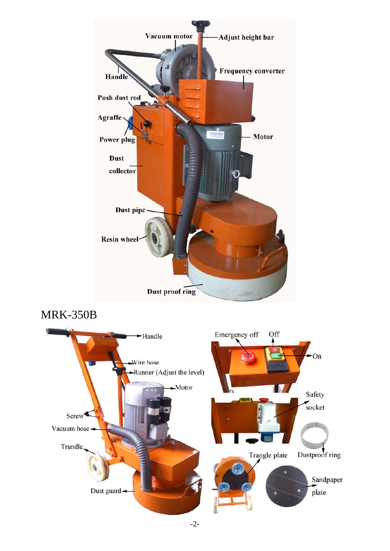

# MRK-350B

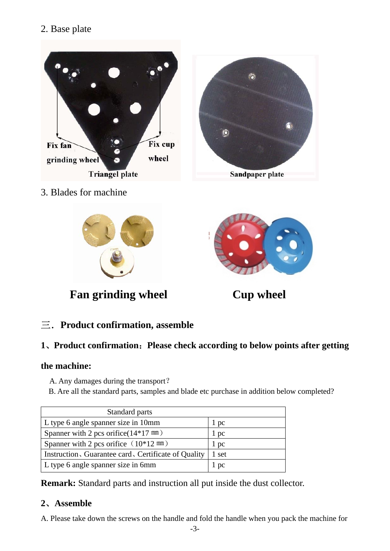#### 2. Base plate



3. Blades for machine



**Fan grinding wheel Cup wheel** 



#### 三.**Product confirmation, assemble**

#### **1**、**Product confirmation**:**Please check according to below points after getting**

#### **the machine:**

- A. Any damages during the transport?
- B. Are all the standard parts, samples and blade etc purchase in addition below completed?

| Standard parts                                      |       |
|-----------------------------------------------------|-------|
| L type 6 angle spanner size in 10mm                 | 1 pc  |
| Spanner with 2 pcs orifice $(14*17 \text{ mm})$     | l pc  |
| Spanner with 2 pcs orifice $(10*12 \text{ mm})$     | 1 pc  |
| Instruction, Guarantee card, Certificate of Quality | 1 set |
| L type 6 angle spanner size in 6mm                  | 1 pc  |

**Remark:** Standard parts and instruction all put inside the dust collector.

#### **2**、**Assemble**

A. Please take down the screws on the handle and fold the handle when you pack the machine for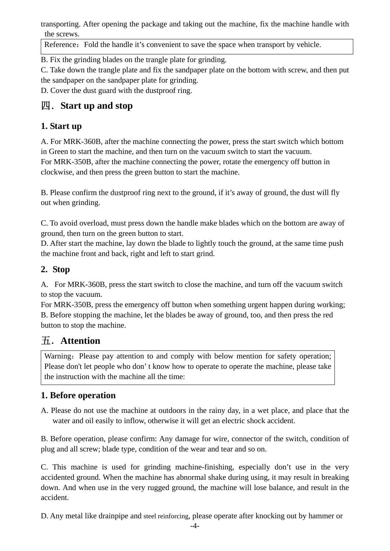transporting. After opening the package and taking out the machine, fix the machine handle with the screws.

Reference: Fold the handle it's convenient to save the space when transport by vehicle.

B. Fix the grinding blades on the trangle plate for grinding.

C. Take down the trangle plate and fix the sandpaper plate on the bottom with screw, and then put the sandpaper on the sandpaper plate for grinding.

D. Cover the dust guard with the dustproof ring.

## 四.**Start up and stop**

#### **1. Start up**

A. For MRK-360B, after the machine connecting the power, press the start switch which bottom in Green to start the machine, and then turn on the vacuum switch to start the vacuum. For MRK-350B, after the machine connecting the power, rotate the emergency off button in clockwise, and then press the green button to start the machine.

B. Please confirm the dustproof ring next to the ground, if it's away of ground, the dust will fly out when grinding.

C. To avoid overload, must press down the handle make blades which on the bottom are away of ground, then turn on the green button to start.

D. After start the machine, lay down the blade to lightly touch the ground, at the same time push the machine front and back, right and left to start grind.

#### **2. Stop**

A. For MRK-360B, press the start switch to close the machine, and turn off the vacuum switch to stop the vacuum.

For MRK-350B, press the emergency off button when something urgent happen during working; B. Before stopping the machine, let the blades be away of ground, too, and then press the red button to stop the machine.

## 五.**Attention**

Warning: Please pay attention to and comply with below mention for safety operation; Please don't let people who don' t know how to operate to operate the machine, please take the instruction with the machine all the time:

#### **1. Before operation**

A. Please do not use the machine at outdoors in the rainy day, in a wet place, and place that the water and oil easily to inflow, otherwise it will get an electric shock accident.

B. Before operation, please confirm: Any damage for wire, connector of the switch, condition of plug and all screw; blade type, condition of the wear and tear and so on.

C. This machine is used for grinding machine-finishing, especially don't use in the very accidented ground. When the machine has abnormal shake during using, it may result in breaking down. And when use in the very rugged ground, the machine will lose balance, and result in the accident.

D. Any metal like drainpipe and steel reinforcing, please operate after knocking out by hammer or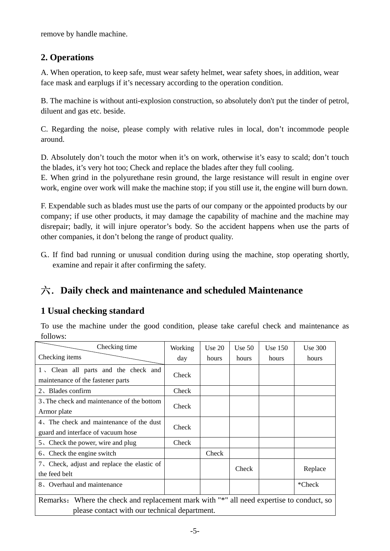remove by handle machine.

#### **2. Operations**

A. When operation, to keep safe, must wear safety helmet, wear safety shoes, in addition, wear face mask and earplugs if it's necessary according to the operation condition.

B. The machine is without anti-explosion construction, so absolutely don't put the tinder of petrol, diluent and gas etc. beside.

C. Regarding the noise, please comply with relative rules in local, don't incommode people around.

D. Absolutely don't touch the motor when it's on work, otherwise it's easy to scald; don't touch the blades, it's very hot too; Check and replace the blades after they full cooling.

E. When grind in the polyurethane resin ground, the large resistance will result in engine over work, engine over work will make the machine stop; if you still use it, the engine will burn down.

F. Expendable such as blades must use the parts of our company or the appointed products by our company; if use other products, it may damage the capability of machine and the machine may disrepair; badly, it will injure operator's body. So the accident happens when use the parts of other companies, it don't belong the range of product quality.

G.. If find bad running or unusual condition during using the machine, stop operating shortly, examine and repair it after confirming the safety.

## 六.**Daily check and maintenance and scheduled Maintenance**

#### **1 Usual checking standard**

To use the machine under the good condition, please take careful check and maintenance as follows:

| Checking time                                                                            | Working | Use $20$ | Use $50$ | Use $150$ | <b>Use 300</b> |
|------------------------------------------------------------------------------------------|---------|----------|----------|-----------|----------------|
| Checking items                                                                           | day     | hours    | hours    | hours     | hours          |
| 1, Clean all parts and the check and<br>maintenance of the fastener parts                | Check   |          |          |           |                |
| 2, Blades confirm                                                                        | Check   |          |          |           |                |
| 3. The check and maintenance of the bottom<br>Armor plate                                | Check   |          |          |           |                |
| 4. The check and maintenance of the dust<br>guard and interface of vacuum hose           | Check   |          |          |           |                |
| 5. Check the power, wire and plug                                                        | Check   |          |          |           |                |
| $6\sqrt{ }$ Check the engine switch                                                      |         | Check    |          |           |                |
| 7. Check, adjust and replace the elastic of<br>the feed belt                             |         |          | Check    |           | Replace        |
| 8. Overhaul and maintenance                                                              |         |          |          |           | *Check         |
| Remarks: Where the check and replacement mark with "*" all need expertise to conduct, so |         |          |          |           |                |
| please contact with our technical department.                                            |         |          |          |           |                |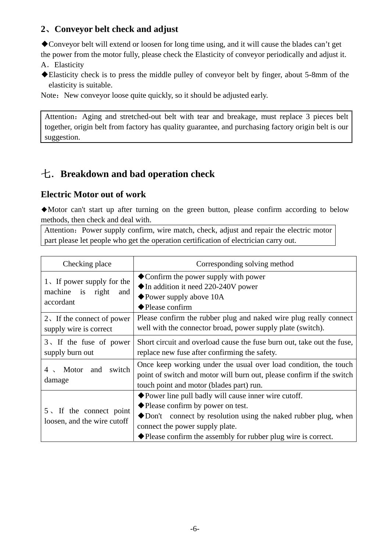#### **2**、**Conveyor belt check and adjust**

◆Conveyor belt will extend or loosen for long time using, and it will cause the blades can't get

- the power from the motor fully, please check the Elasticity of conveyor periodically and adjust it. A.Elasticity
- ◆Elasticity check is to press the middle pulley of conveyor belt by finger, about 5-8mm of the elasticity is suitable.

Note: New conveyor loose quite quickly, so it should be adjusted early.

Attention: Aging and stretched-out belt with tear and breakage, must replace 3 pieces belt together, origin belt from factory has quality guarantee, and purchasing factory origin belt is our suggestion.

## 七.**Breakdown and bad operation check**

#### **Electric Motor out of work**

◆Motor can't start up after turning on the green button, please confirm according to below methods, then check and deal with.

Attention: Power supply confirm, wire match, check, adjust and repair the electric motor part please let people who get the operation certification of electrician carry out.

| Checking place                                                        | Corresponding solving method                                                                                                                                                                                                                                                                    |  |
|-----------------------------------------------------------------------|-------------------------------------------------------------------------------------------------------------------------------------------------------------------------------------------------------------------------------------------------------------------------------------------------|--|
| 1. If power supply for the<br>machine is<br>right<br>and<br>accordant | $\bullet$ Confirm the power supply with power<br>$\blacklozenge$ In addition it need 220-240V power<br>$\blacklozenge$ Power supply above 10A<br>$\blacklozenge$ Please confirm                                                                                                                 |  |
| $2\sqrt{1}$ If the connect of power<br>supply wire is correct         | Please confirm the rubber plug and naked wire plug really connect<br>well with the connector broad, power supply plate (switch).                                                                                                                                                                |  |
| 3. If the fuse of power<br>supply burn out                            | Short circuit and overload cause the fuse burn out, take out the fuse,<br>replace new fuse after confirming the safety.                                                                                                                                                                         |  |
| and<br>switch<br>Motor<br>$4 \sim$<br>damage                          | Once keep working under the usual over load condition, the touch<br>point of switch and motor will burn out, please confirm if the switch<br>touch point and motor (blades part) run.                                                                                                           |  |
| $5 \times$ If the connect point<br>loosen, and the wire cutoff        | ◆ Power line pull badly will cause inner wire cutoff.<br>◆ Please confirm by power on test.<br>$\blacklozenge$ Don't connect by resolution using the naked rubber plug, when<br>connect the power supply plate.<br>$\blacklozenge$ Please confirm the assembly for rubber plug wire is correct. |  |